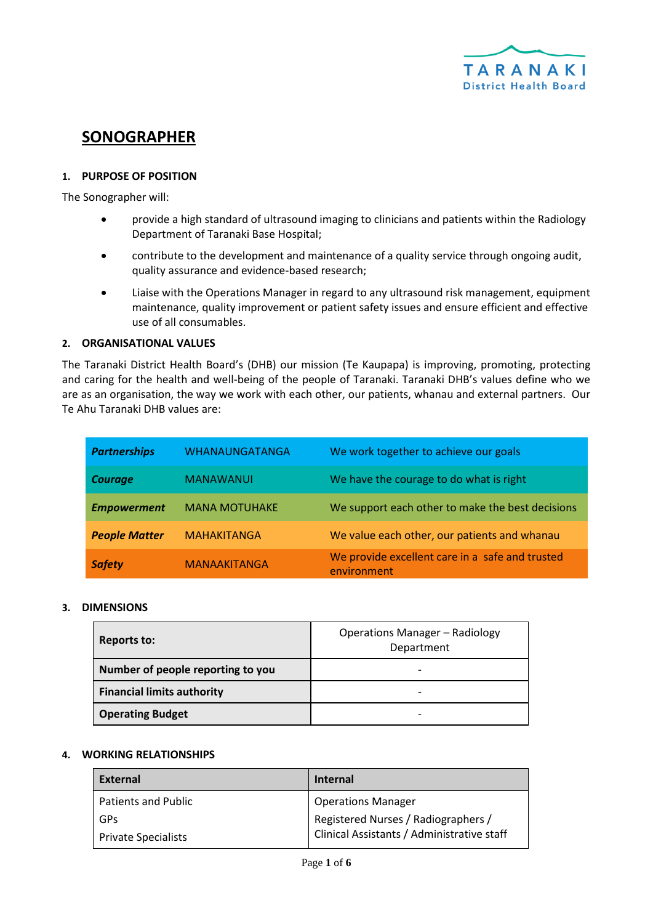

# **SONOGRAPHER**

# **1. PURPOSE OF POSITION**

The Sonographer will:

- provide a high standard of ultrasound imaging to clinicians and patients within the Radiology Department of Taranaki Base Hospital;
- contribute to the development and maintenance of a quality service through ongoing audit, quality assurance and evidence-based research;
- Liaise with the Operations Manager in regard to any ultrasound risk management, equipment maintenance, quality improvement or patient safety issues and ensure efficient and effective use of all consumables.

#### **2. ORGANISATIONAL VALUES**

The Taranaki District Health Board's (DHB) our mission (Te Kaupapa) is improving, promoting, protecting and caring for the health and well-being of the people of Taranaki. Taranaki DHB's values define who we are as an organisation, the way we work with each other, our patients, whanau and external partners. Our Te Ahu Taranaki DHB values are:

| <b>Partnerships</b>  | WHANAUNGATANGA       | We work together to achieve our goals                          |
|----------------------|----------------------|----------------------------------------------------------------|
| <b>Courage</b>       | <b>MANAWANUI</b>     | We have the courage to do what is right                        |
| <b>Empowerment</b>   | <b>MANA MOTUHAKE</b> | We support each other to make the best decisions               |
| <b>People Matter</b> | <b>MAHAKITANGA</b>   | We value each other, our patients and whanau                   |
| <b>Safety</b>        | <b>MANAAKITANGA</b>  | We provide excellent care in a safe and trusted<br>environment |

#### **3. DIMENSIONS**

| Reports to:                       | <b>Operations Manager - Radiology</b><br>Department |
|-----------------------------------|-----------------------------------------------------|
| Number of people reporting to you |                                                     |
| <b>Financial limits authority</b> |                                                     |
| <b>Operating Budget</b>           | -                                                   |

#### **4. WORKING RELATIONSHIPS**

| External            | <b>Internal</b>                            |
|---------------------|--------------------------------------------|
| Patients and Public | <b>Operations Manager</b>                  |
| GPs                 | Registered Nurses / Radiographers /        |
| Private Specialists | Clinical Assistants / Administrative staff |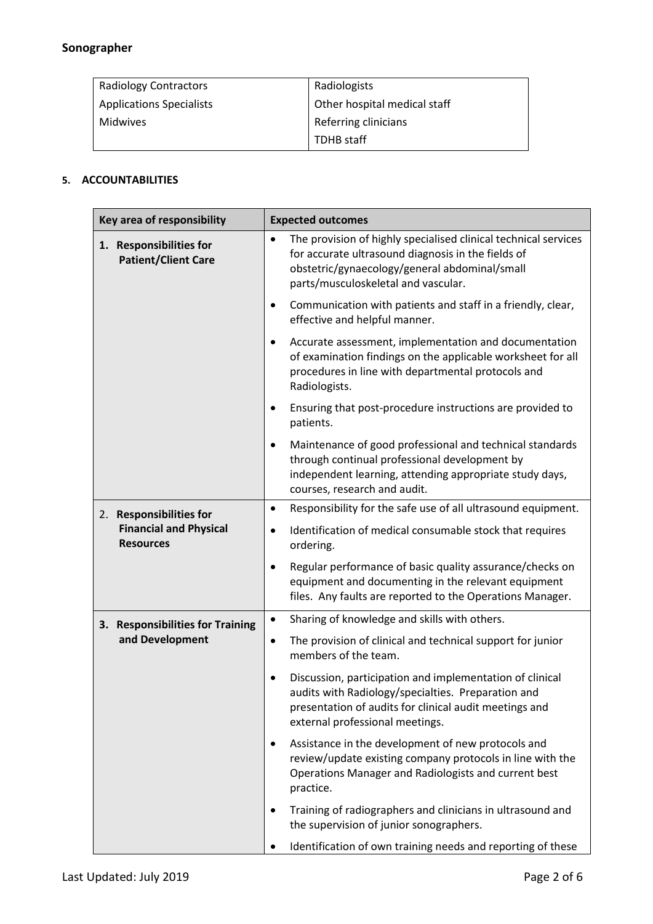# **Sonographer**

| <b>Radiology Contractors</b>    | Radiologists                 |
|---------------------------------|------------------------------|
| <b>Applications Specialists</b> | Other hospital medical staff |
| Midwives                        | Referring clinicians         |
|                                 | TDHB staff                   |

# **5. ACCOUNTABILITIES**

| Key area of responsibility                            | <b>Expected outcomes</b>                                                                                                                                                                                                   |
|-------------------------------------------------------|----------------------------------------------------------------------------------------------------------------------------------------------------------------------------------------------------------------------------|
| 1. Responsibilities for<br><b>Patient/Client Care</b> | The provision of highly specialised clinical technical services<br>$\bullet$<br>for accurate ultrasound diagnosis in the fields of<br>obstetric/gynaecology/general abdominal/small<br>parts/musculoskeletal and vascular. |
|                                                       | Communication with patients and staff in a friendly, clear,<br>$\bullet$<br>effective and helpful manner.                                                                                                                  |
|                                                       | Accurate assessment, implementation and documentation<br>٠<br>of examination findings on the applicable worksheet for all<br>procedures in line with departmental protocols and<br>Radiologists.                           |
|                                                       | Ensuring that post-procedure instructions are provided to<br>$\bullet$<br>patients.                                                                                                                                        |
|                                                       | Maintenance of good professional and technical standards<br>through continual professional development by<br>independent learning, attending appropriate study days,<br>courses, research and audit.                       |
| <b>Responsibilities for</b><br>2.                     | Responsibility for the safe use of all ultrasound equipment.<br>$\bullet$                                                                                                                                                  |
| <b>Financial and Physical</b><br><b>Resources</b>     | Identification of medical consumable stock that requires<br>$\bullet$<br>ordering.                                                                                                                                         |
|                                                       | Regular performance of basic quality assurance/checks on<br>equipment and documenting in the relevant equipment<br>files. Any faults are reported to the Operations Manager.                                               |
| 3. Responsibilities for Training                      | Sharing of knowledge and skills with others.<br>$\bullet$                                                                                                                                                                  |
| and Development                                       | The provision of clinical and technical support for junior<br>$\bullet$<br>members of the team.                                                                                                                            |
|                                                       | Discussion, participation and implementation of clinical<br>audits with Radiology/specialties. Preparation and<br>presentation of audits for clinical audit meetings and<br>external professional meetings.                |
|                                                       | Assistance in the development of new protocols and<br>$\bullet$<br>review/update existing company protocols in line with the<br>Operations Manager and Radiologists and current best<br>practice.                          |
|                                                       | Training of radiographers and clinicians in ultrasound and<br>the supervision of junior sonographers.                                                                                                                      |
|                                                       | Identification of own training needs and reporting of these                                                                                                                                                                |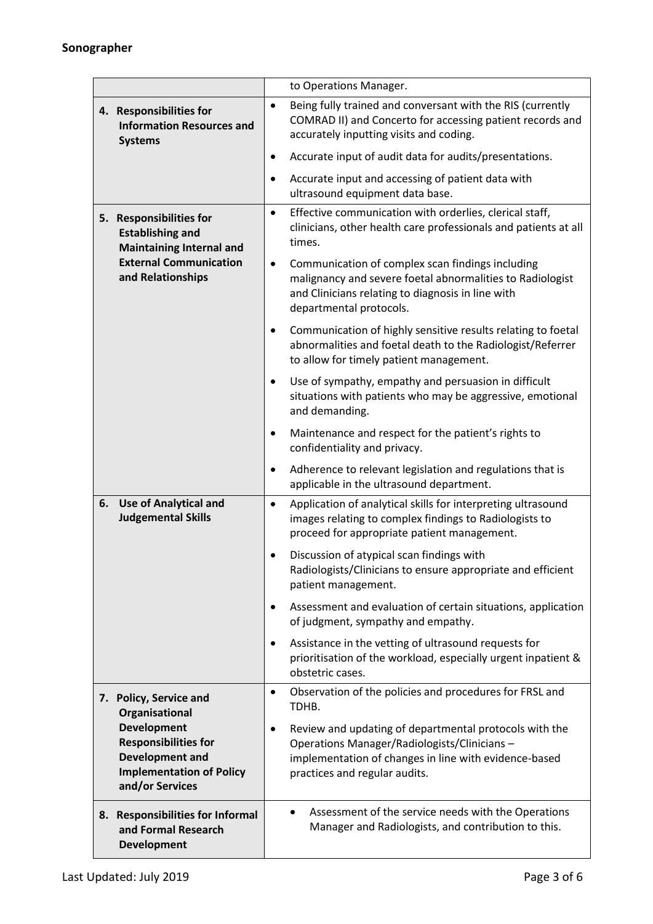|                                                                                                                                             | to Operations Manager.                                                                                                                                                                                                                                                          |
|---------------------------------------------------------------------------------------------------------------------------------------------|---------------------------------------------------------------------------------------------------------------------------------------------------------------------------------------------------------------------------------------------------------------------------------|
| 4. Responsibilities for<br><b>Information Resources and</b><br><b>Systems</b>                                                               | Being fully trained and conversant with the RIS (currently<br>$\bullet$<br>COMRAD II) and Concerto for accessing patient records and<br>accurately inputting visits and coding.                                                                                                 |
|                                                                                                                                             | Accurate input of audit data for audits/presentations.<br>٠                                                                                                                                                                                                                     |
|                                                                                                                                             | Accurate input and accessing of patient data with<br>٠<br>ultrasound equipment data base.                                                                                                                                                                                       |
| 5. Responsibilities for<br><b>Establishing and</b><br><b>Maintaining Internal and</b><br><b>External Communication</b><br>and Relationships | Effective communication with orderlies, clerical staff,<br>$\bullet$<br>clinicians, other health care professionals and patients at all<br>times.<br>Communication of complex scan findings including<br>$\bullet$<br>malignancy and severe foetal abnormalities to Radiologist |
|                                                                                                                                             | and Clinicians relating to diagnosis in line with<br>departmental protocols.                                                                                                                                                                                                    |
|                                                                                                                                             | Communication of highly sensitive results relating to foetal<br>$\bullet$<br>abnormalities and foetal death to the Radiologist/Referrer<br>to allow for timely patient management.                                                                                              |
|                                                                                                                                             | Use of sympathy, empathy and persuasion in difficult<br>$\bullet$<br>situations with patients who may be aggressive, emotional<br>and demanding.                                                                                                                                |
|                                                                                                                                             | Maintenance and respect for the patient's rights to<br>confidentiality and privacy.                                                                                                                                                                                             |
|                                                                                                                                             | Adherence to relevant legislation and regulations that is<br>٠<br>applicable in the ultrasound department.                                                                                                                                                                      |
| <b>Use of Analytical and</b><br>6.<br><b>Judgemental Skills</b>                                                                             | Application of analytical skills for interpreting ultrasound<br>$\bullet$<br>images relating to complex findings to Radiologists to<br>proceed for appropriate patient management.                                                                                              |
|                                                                                                                                             | Discussion of atypical scan findings with<br>Radiologists/Clinicians to ensure appropriate and efficient<br>patient management.                                                                                                                                                 |
|                                                                                                                                             | Assessment and evaluation of certain situations, application<br>$\bullet$<br>of judgment, sympathy and empathy.                                                                                                                                                                 |
|                                                                                                                                             | Assistance in the vetting of ultrasound requests for<br>prioritisation of the workload, especially urgent inpatient &<br>obstetric cases.                                                                                                                                       |
| <b>Policy, Service and</b><br>7.<br>Organisational                                                                                          | Observation of the policies and procedures for FRSL and<br>$\bullet$<br>TDHB.                                                                                                                                                                                                   |
| <b>Development</b><br><b>Responsibilities for</b><br><b>Development and</b><br><b>Implementation of Policy</b><br>and/or Services           | Review and updating of departmental protocols with the<br>Operations Manager/Radiologists/Clinicians -<br>implementation of changes in line with evidence-based<br>practices and regular audits.                                                                                |
| <b>Responsibilities for Informal</b><br>8.<br>and Formal Research<br><b>Development</b>                                                     | Assessment of the service needs with the Operations<br>$\bullet$<br>Manager and Radiologists, and contribution to this.                                                                                                                                                         |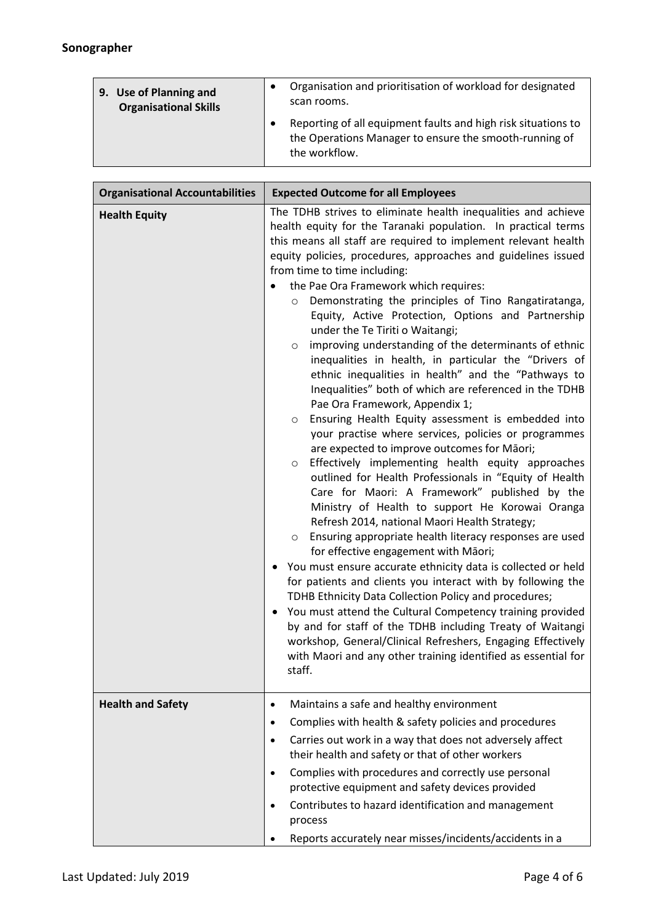| 9. Use of Planning and       | Organisation and prioritisation of workload for designated                                                                               |
|------------------------------|------------------------------------------------------------------------------------------------------------------------------------------|
| <b>Organisational Skills</b> | scan rooms.                                                                                                                              |
|                              | Reporting of all equipment faults and high risk situations to<br>the Operations Manager to ensure the smooth-running of<br>the workflow. |

| <b>Organisational Accountabilities</b> | <b>Expected Outcome for all Employees</b>                                                                                                                                                                                                                                                                                                                                                                                                                                                                                                                                                                                                                                                                                                                                                                                                                                                                                                                                                                                                                                                                                                                                                                                                                                                                                                                                                                                                                                                                                                                                                                                                                                                                                                                                                                               |
|----------------------------------------|-------------------------------------------------------------------------------------------------------------------------------------------------------------------------------------------------------------------------------------------------------------------------------------------------------------------------------------------------------------------------------------------------------------------------------------------------------------------------------------------------------------------------------------------------------------------------------------------------------------------------------------------------------------------------------------------------------------------------------------------------------------------------------------------------------------------------------------------------------------------------------------------------------------------------------------------------------------------------------------------------------------------------------------------------------------------------------------------------------------------------------------------------------------------------------------------------------------------------------------------------------------------------------------------------------------------------------------------------------------------------------------------------------------------------------------------------------------------------------------------------------------------------------------------------------------------------------------------------------------------------------------------------------------------------------------------------------------------------------------------------------------------------------------------------------------------------|
| <b>Health Equity</b>                   | The TDHB strives to eliminate health inequalities and achieve<br>health equity for the Taranaki population. In practical terms<br>this means all staff are required to implement relevant health<br>equity policies, procedures, approaches and guidelines issued<br>from time to time including:<br>the Pae Ora Framework which requires:<br>Demonstrating the principles of Tino Rangatiratanga,<br>$\circ$<br>Equity, Active Protection, Options and Partnership<br>under the Te Tiriti o Waitangi;<br>improving understanding of the determinants of ethnic<br>$\circ$<br>inequalities in health, in particular the "Drivers of<br>ethnic inequalities in health" and the "Pathways to<br>Inequalities" both of which are referenced in the TDHB<br>Pae Ora Framework, Appendix 1;<br>Ensuring Health Equity assessment is embedded into<br>$\circ$<br>your practise where services, policies or programmes<br>are expected to improve outcomes for Māori;<br>Effectively implementing health equity approaches<br>$\circ$<br>outlined for Health Professionals in "Equity of Health<br>Care for Maori: A Framework" published by the<br>Ministry of Health to support He Korowai Oranga<br>Refresh 2014, national Maori Health Strategy;<br>Ensuring appropriate health literacy responses are used<br>$\circ$<br>for effective engagement with Māori;<br>You must ensure accurate ethnicity data is collected or held<br>for patients and clients you interact with by following the<br>TDHB Ethnicity Data Collection Policy and procedures;<br>You must attend the Cultural Competency training provided<br>by and for staff of the TDHB including Treaty of Waitangi<br>workshop, General/Clinical Refreshers, Engaging Effectively<br>with Maori and any other training identified as essential for<br>staff. |
| <b>Health and Safety</b>               | Maintains a safe and healthy environment<br>$\bullet$<br>Complies with health & safety policies and procedures<br>٠<br>Carries out work in a way that does not adversely affect<br>$\bullet$<br>their health and safety or that of other workers<br>Complies with procedures and correctly use personal<br>$\bullet$<br>protective equipment and safety devices provided<br>Contributes to hazard identification and management<br>$\bullet$<br>process<br>Reports accurately near misses/incidents/accidents in a                                                                                                                                                                                                                                                                                                                                                                                                                                                                                                                                                                                                                                                                                                                                                                                                                                                                                                                                                                                                                                                                                                                                                                                                                                                                                                      |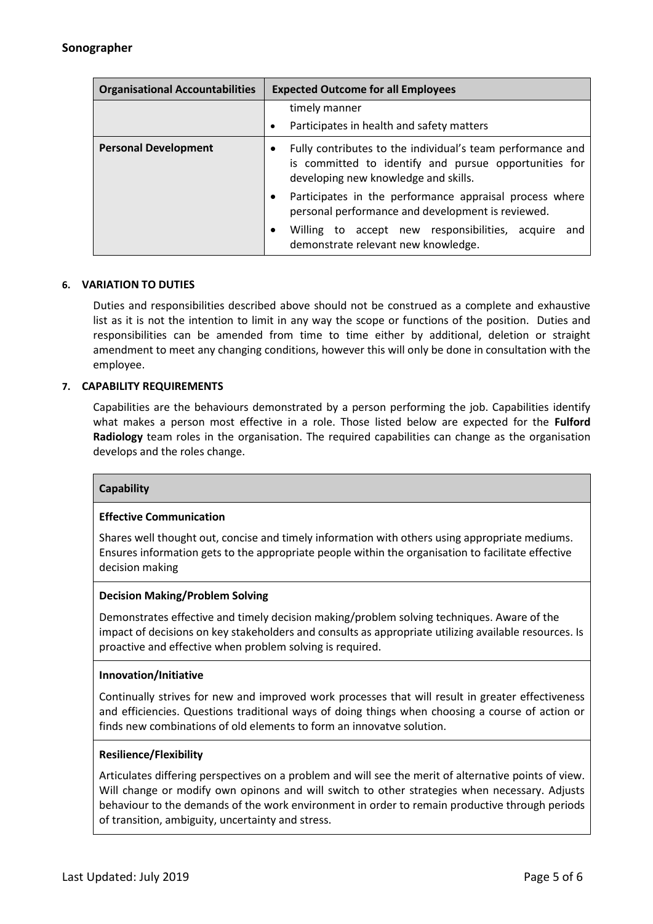| <b>Organisational Accountabilities</b> | <b>Expected Outcome for all Employees</b>                                                                                                                   |
|----------------------------------------|-------------------------------------------------------------------------------------------------------------------------------------------------------------|
|                                        | timely manner<br>Participates in health and safety matters                                                                                                  |
| <b>Personal Development</b>            | Fully contributes to the individual's team performance and<br>is committed to identify and pursue opportunities for<br>developing new knowledge and skills. |
|                                        | Participates in the performance appraisal process where<br>personal performance and development is reviewed.                                                |
|                                        | Willing to accept new responsibilities, acquire<br>and<br>demonstrate relevant new knowledge.                                                               |

#### **6. VARIATION TO DUTIES**

Duties and responsibilities described above should not be construed as a complete and exhaustive list as it is not the intention to limit in any way the scope or functions of the position. Duties and responsibilities can be amended from time to time either by additional, deletion or straight amendment to meet any changing conditions, however this will only be done in consultation with the employee.

# **7. CAPABILITY REQUIREMENTS**

Capabilities are the behaviours demonstrated by a person performing the job. Capabilities identify what makes a person most effective in a role. Those listed below are expected for the **Fulford Radiology** team roles in the organisation. The required capabilities can change as the organisation develops and the roles change.

#### **Capability**

#### **Effective Communication**

Shares well thought out, concise and timely information with others using appropriate mediums. Ensures information gets to the appropriate people within the organisation to facilitate effective decision making

#### **Decision Making/Problem Solving**

Demonstrates effective and timely decision making/problem solving techniques. Aware of the impact of decisions on key stakeholders and consults as appropriate utilizing available resources. Is proactive and effective when problem solving is required.

#### **Innovation/Initiative**

Continually strives for new and improved work processes that will result in greater effectiveness and efficiencies. Questions traditional ways of doing things when choosing a course of action or finds new combinations of old elements to form an innovatve solution.

#### **Resilience/Flexibility**

Articulates differing perspectives on a problem and will see the merit of alternative points of view. Will change or modify own opinons and will switch to other strategies when necessary. Adjusts behaviour to the demands of the work environment in order to remain productive through periods of transition, ambiguity, uncertainty and stress.